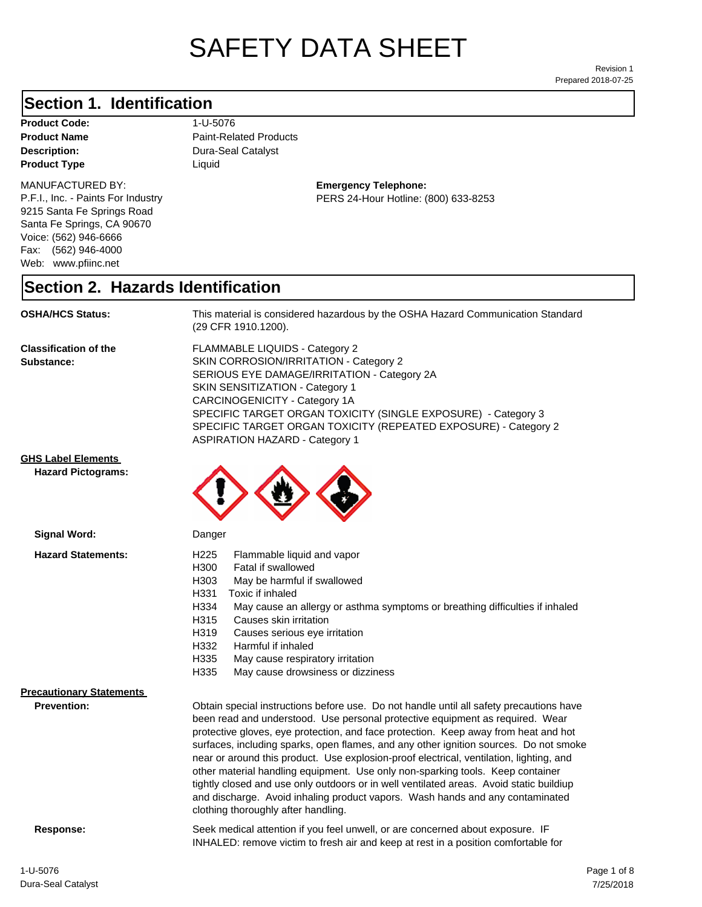# SAFETY DATA SHEET

Prepared 2018-07-25 Revision 1

#### **Section 1. Identification**

**Product Code:** 1-U-5076 **Product Type Liquid Liquid** 

#### MANUFACTURED BY:

P.F.I., Inc. - Paints For Industry 9215 Santa Fe Springs Road Santa Fe Springs, CA 90670 Voice: (562) 946-6666 Fax: (562) 946-4000 Web: www.pfiinc.net

**Description:** Dura-Seal Catalyst **Product Name** Paint-Related Products

#### **Emergency Telephone:** PERS 24-Hour Hotline: (800) 633-8253

#### **Section 2. Hazards Identification**

**OSHA/HCS Status:** This material is considered hazardous by the OSHA Hazard Communication Standard (29 CFR 1910.1200).

**Classification of the Substance:**

FLAMMABLE LIQUIDS - Category 2 SKIN CORROSION/IRRITATION - Category 2 SERIOUS EYE DAMAGE/IRRITATION - Category 2A SKIN SENSITIZATION - Category 1 CARCINOGENICITY - Category 1A SPECIFIC TARGET ORGAN TOXICITY (SINGLE EXPOSURE) - Category 3 SPECIFIC TARGET ORGAN TOXICITY (REPEATED EXPOSURE) - Category 2 ASPIRATION HAZARD - Category 1

#### **GHS Label Elements**

**Signal Word:**

**Hazard Pictograms:**



Danger

| <b>Hazard Statements:</b>       | H <sub>225</sub><br>Flammable liquid and vapor<br>H300<br>Fatal if swallowed<br>H303<br>May be harmful if swallowed<br>H331<br>Toxic if inhaled<br>H334<br>May cause an allergy or asthma symptoms or breathing difficulties if inhaled<br>H315<br>Causes skin irritation<br>H319<br>Causes serious eye irritation<br>H332<br>Harmful if inhaled                                                                                                                                                                                                                                                                                                                                                                                                         |  |
|---------------------------------|----------------------------------------------------------------------------------------------------------------------------------------------------------------------------------------------------------------------------------------------------------------------------------------------------------------------------------------------------------------------------------------------------------------------------------------------------------------------------------------------------------------------------------------------------------------------------------------------------------------------------------------------------------------------------------------------------------------------------------------------------------|--|
|                                 | H335<br>May cause respiratory irritation<br>H335<br>May cause drowsiness or dizziness                                                                                                                                                                                                                                                                                                                                                                                                                                                                                                                                                                                                                                                                    |  |
| <b>Precautionary Statements</b> |                                                                                                                                                                                                                                                                                                                                                                                                                                                                                                                                                                                                                                                                                                                                                          |  |
| <b>Prevention:</b>              | Obtain special instructions before use. Do not handle until all safety precautions have<br>been read and understood. Use personal protective equipment as required. Wear<br>protective gloves, eye protection, and face protection. Keep away from heat and hot<br>surfaces, including sparks, open flames, and any other ignition sources. Do not smoke<br>near or around this product. Use explosion-proof electrical, ventilation, lighting, and<br>other material handling equipment. Use only non-sparking tools. Keep container<br>tightly closed and use only outdoors or in well ventilated areas. Avoid static buildiup<br>and discharge. Avoid inhaling product vapors. Wash hands and any contaminated<br>clothing thoroughly after handling. |  |
| Response:                       | Seek medical attention if you feel unwell, or are concerned about exposure. IF<br>INHALED: remove victim to fresh air and keep at rest in a position comfortable for                                                                                                                                                                                                                                                                                                                                                                                                                                                                                                                                                                                     |  |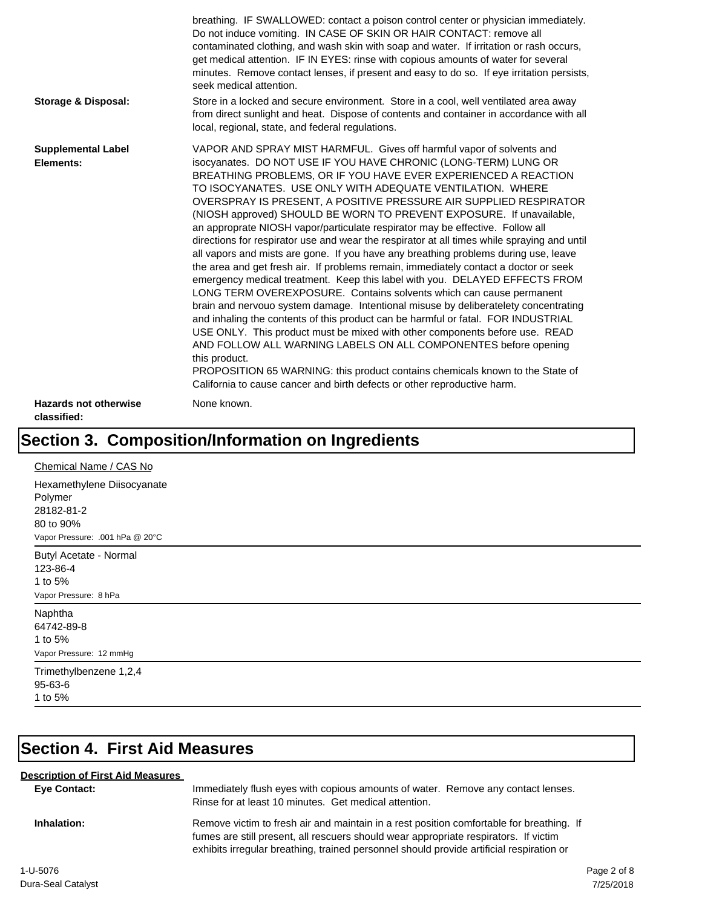| <b>Storage &amp; Disposal:</b>                       | Do not induce vomiting. IN CASE OF SKIN OR HAIR CONTACT: remove all<br>contaminated clothing, and wash skin with soap and water. If irritation or rash occurs,<br>get medical attention. IF IN EYES: rinse with copious amounts of water for several<br>minutes. Remove contact lenses, if present and easy to do so. If eye irritation persists,<br>seek medical attention.<br>Store in a locked and secure environment. Store in a cool, well ventilated area away<br>from direct sunlight and heat. Dispose of contents and container in accordance with all                                                                                                                                                                                                                                                                                                                                                                                                                                                                                                                                                                                                                                                                                                                                                                                                                                                                                       |
|------------------------------------------------------|-------------------------------------------------------------------------------------------------------------------------------------------------------------------------------------------------------------------------------------------------------------------------------------------------------------------------------------------------------------------------------------------------------------------------------------------------------------------------------------------------------------------------------------------------------------------------------------------------------------------------------------------------------------------------------------------------------------------------------------------------------------------------------------------------------------------------------------------------------------------------------------------------------------------------------------------------------------------------------------------------------------------------------------------------------------------------------------------------------------------------------------------------------------------------------------------------------------------------------------------------------------------------------------------------------------------------------------------------------------------------------------------------------------------------------------------------------|
|                                                      | local, regional, state, and federal regulations.                                                                                                                                                                                                                                                                                                                                                                                                                                                                                                                                                                                                                                                                                                                                                                                                                                                                                                                                                                                                                                                                                                                                                                                                                                                                                                                                                                                                      |
| <b>Supplemental Label</b><br>Elements:               | VAPOR AND SPRAY MIST HARMFUL. Gives off harmful vapor of solvents and<br>isocyanates. DO NOT USE IF YOU HAVE CHRONIC (LONG-TERM) LUNG OR<br>BREATHING PROBLEMS, OR IF YOU HAVE EVER EXPERIENCED A REACTION<br>TO ISOCYANATES. USE ONLY WITH ADEQUATE VENTILATION. WHERE<br>OVERSPRAY IS PRESENT, A POSITIVE PRESSURE AIR SUPPLIED RESPIRATOR<br>(NIOSH approved) SHOULD BE WORN TO PREVENT EXPOSURE. If unavailable,<br>an approprate NIOSH vapor/particulate respirator may be effective. Follow all<br>directions for respirator use and wear the respirator at all times while spraying and until<br>all vapors and mists are gone. If you have any breathing problems during use, leave<br>the area and get fresh air. If problems remain, immediately contact a doctor or seek<br>emergency medical treatment. Keep this label with you. DELAYED EFFECTS FROM<br>LONG TERM OVEREXPOSURE. Contains solvents which can cause permanent<br>brain and nervouo system damage. Intentional misuse by deliberatelety concentrating<br>and inhaling the contents of this product can be harmful or fatal. FOR INDUSTRIAL<br>USE ONLY. This product must be mixed with other components before use. READ<br>AND FOLLOW ALL WARNING LABELS ON ALL COMPONENTES before opening<br>this product.<br>PROPOSITION 65 WARNING: this product contains chemicals known to the State of<br>California to cause cancer and birth defects or other reproductive harm. |
| <b>Hazards not otherwise</b><br>classified:          | None known.                                                                                                                                                                                                                                                                                                                                                                                                                                                                                                                                                                                                                                                                                                                                                                                                                                                                                                                                                                                                                                                                                                                                                                                                                                                                                                                                                                                                                                           |
|                                                      | Section 3. Composition/Information on Ingredients                                                                                                                                                                                                                                                                                                                                                                                                                                                                                                                                                                                                                                                                                                                                                                                                                                                                                                                                                                                                                                                                                                                                                                                                                                                                                                                                                                                                     |
| Chemical Name / CAS No<br>Hexamethylene Diisocyanate |                                                                                                                                                                                                                                                                                                                                                                                                                                                                                                                                                                                                                                                                                                                                                                                                                                                                                                                                                                                                                                                                                                                                                                                                                                                                                                                                                                                                                                                       |

Polymer 28182-81-2 80 to 90% Vapor Pressure: .001 hPa @ 20°C

Butyl Acetate - Normal 123-86-4 1 to 5% Vapor Pressure: 8 hPa

Naphtha 64742-89-8 1 to 5% Vapor Pressure: 12 mmHg

Trimethylbenzene 1,2,4 95-63-6 1 to 5%

## **Section 4. First Aid Measures**

| <b>Description of First Aid Measures</b> |                                                                                                                                                                                                                                                                              |             |
|------------------------------------------|------------------------------------------------------------------------------------------------------------------------------------------------------------------------------------------------------------------------------------------------------------------------------|-------------|
| Eye Contact:                             | Immediately flush eyes with copious amounts of water. Remove any contact lenses.<br>Rinse for at least 10 minutes. Get medical attention.                                                                                                                                    |             |
| Inhalation:                              | Remove victim to fresh air and maintain in a rest position comfortable for breathing. If<br>fumes are still present, all rescuers should wear appropriate respirators. If victim<br>exhibits irregular breathing, trained personnel should provide artificial respiration or |             |
| 1-U-5076                                 |                                                                                                                                                                                                                                                                              | Page 2 of 8 |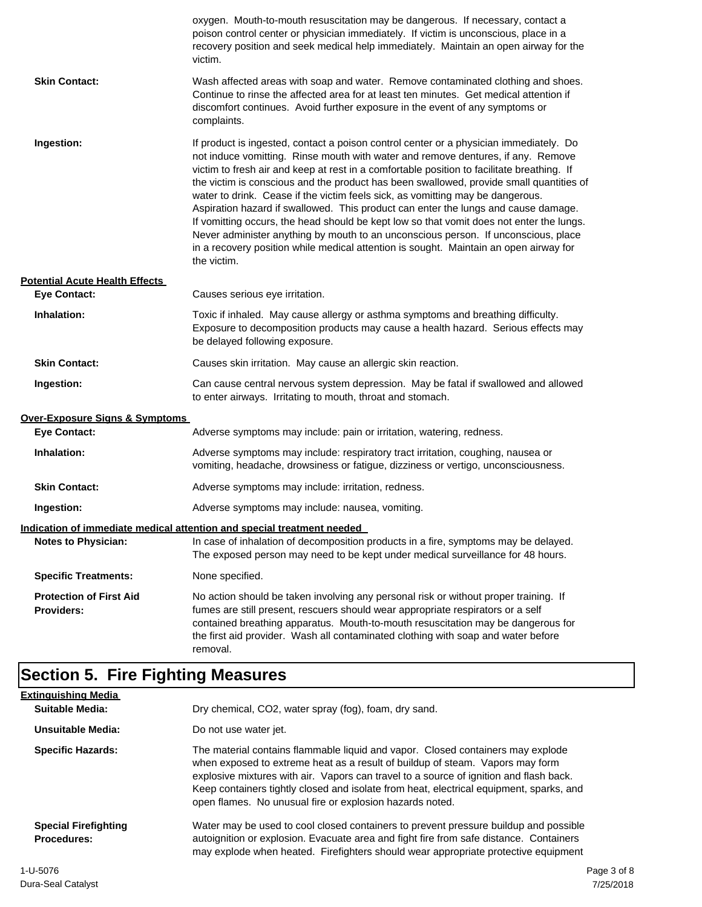|                                              | oxygen. Mouth-to-mouth resuscitation may be dangerous. If necessary, contact a<br>poison control center or physician immediately. If victim is unconscious, place in a<br>recovery position and seek medical help immediately. Maintain an open airway for the<br>victim.                                                                                                                                                                                                                                                                                                                                                                                                                                                                                                                                                             |
|----------------------------------------------|---------------------------------------------------------------------------------------------------------------------------------------------------------------------------------------------------------------------------------------------------------------------------------------------------------------------------------------------------------------------------------------------------------------------------------------------------------------------------------------------------------------------------------------------------------------------------------------------------------------------------------------------------------------------------------------------------------------------------------------------------------------------------------------------------------------------------------------|
| <b>Skin Contact:</b>                         | Wash affected areas with soap and water. Remove contaminated clothing and shoes.<br>Continue to rinse the affected area for at least ten minutes. Get medical attention if<br>discomfort continues. Avoid further exposure in the event of any symptoms or<br>complaints.                                                                                                                                                                                                                                                                                                                                                                                                                                                                                                                                                             |
| Ingestion:                                   | If product is ingested, contact a poison control center or a physician immediately. Do<br>not induce vomitting. Rinse mouth with water and remove dentures, if any. Remove<br>victim to fresh air and keep at rest in a comfortable position to facilitate breathing. If<br>the victim is conscious and the product has been swallowed, provide small quantities of<br>water to drink. Cease if the victim feels sick, as vomitting may be dangerous.<br>Aspiration hazard if swallowed. This product can enter the lungs and cause damage.<br>If vomitting occurs, the head should be kept low so that vomit does not enter the lungs.<br>Never administer anything by mouth to an unconscious person. If unconscious, place<br>in a recovery position while medical attention is sought. Maintain an open airway for<br>the victim. |
| <b>Potential Acute Health Effects</b>        |                                                                                                                                                                                                                                                                                                                                                                                                                                                                                                                                                                                                                                                                                                                                                                                                                                       |
| <b>Eye Contact:</b>                          | Causes serious eye irritation.                                                                                                                                                                                                                                                                                                                                                                                                                                                                                                                                                                                                                                                                                                                                                                                                        |
| Inhalation:                                  | Toxic if inhaled. May cause allergy or asthma symptoms and breathing difficulty.<br>Exposure to decomposition products may cause a health hazard. Serious effects may<br>be delayed following exposure.                                                                                                                                                                                                                                                                                                                                                                                                                                                                                                                                                                                                                               |
| <b>Skin Contact:</b>                         | Causes skin irritation. May cause an allergic skin reaction.                                                                                                                                                                                                                                                                                                                                                                                                                                                                                                                                                                                                                                                                                                                                                                          |
| Ingestion:                                   | Can cause central nervous system depression. May be fatal if swallowed and allowed<br>to enter airways. Irritating to mouth, throat and stomach.                                                                                                                                                                                                                                                                                                                                                                                                                                                                                                                                                                                                                                                                                      |
| Over-Exposure Signs & Symptoms               |                                                                                                                                                                                                                                                                                                                                                                                                                                                                                                                                                                                                                                                                                                                                                                                                                                       |
| <b>Eye Contact:</b>                          | Adverse symptoms may include: pain or irritation, watering, redness.                                                                                                                                                                                                                                                                                                                                                                                                                                                                                                                                                                                                                                                                                                                                                                  |
| Inhalation:                                  | Adverse symptoms may include: respiratory tract irritation, coughing, nausea or<br>vomiting, headache, drowsiness or fatigue, dizziness or vertigo, unconsciousness.                                                                                                                                                                                                                                                                                                                                                                                                                                                                                                                                                                                                                                                                  |
| <b>Skin Contact:</b>                         | Adverse symptoms may include: irritation, redness.                                                                                                                                                                                                                                                                                                                                                                                                                                                                                                                                                                                                                                                                                                                                                                                    |
| Ingestion:                                   | Adverse symptoms may include: nausea, vomiting.                                                                                                                                                                                                                                                                                                                                                                                                                                                                                                                                                                                                                                                                                                                                                                                       |
|                                              | Indication of immediate medical attention and special treatment needed                                                                                                                                                                                                                                                                                                                                                                                                                                                                                                                                                                                                                                                                                                                                                                |
| <b>Notes to Physician:</b>                   | In case of inhalation of decomposition products in a fire, symptoms may be delayed.<br>The exposed person may need to be kept under medical surveillance for 48 hours.                                                                                                                                                                                                                                                                                                                                                                                                                                                                                                                                                                                                                                                                |
| <b>Specific Treatments:</b>                  | None specified.                                                                                                                                                                                                                                                                                                                                                                                                                                                                                                                                                                                                                                                                                                                                                                                                                       |
| <b>Protection of First Aid</b><br>Providers: | No action should be taken involving any personal risk or without proper training. If<br>fumes are still present, rescuers should wear appropriate respirators or a self<br>contained breathing apparatus. Mouth-to-mouth resuscitation may be dangerous for<br>the first aid provider. Wash all contaminated clothing with soap and water before<br>removal.                                                                                                                                                                                                                                                                                                                                                                                                                                                                          |

## **Section 5. Fire Fighting Measures**

| <b>Extinguishing Media</b>                        |                                                                                                                                                                                                                                                                                                                                                                                                                   |
|---------------------------------------------------|-------------------------------------------------------------------------------------------------------------------------------------------------------------------------------------------------------------------------------------------------------------------------------------------------------------------------------------------------------------------------------------------------------------------|
| Suitable Media:                                   | Dry chemical, CO2, water spray (fog), foam, dry sand.                                                                                                                                                                                                                                                                                                                                                             |
| Unsuitable Media:                                 | Do not use water jet.                                                                                                                                                                                                                                                                                                                                                                                             |
| <b>Specific Hazards:</b>                          | The material contains flammable liquid and vapor. Closed containers may explode<br>when exposed to extreme heat as a result of buildup of steam. Vapors may form<br>explosive mixtures with air. Vapors can travel to a source of ignition and flash back.<br>Keep containers tightly closed and isolate from heat, electrical equipment, sparks, and<br>open flames. No unusual fire or explosion hazards noted. |
| <b>Special Firefighting</b><br><b>Procedures:</b> | Water may be used to cool closed containers to prevent pressure buildup and possible<br>autoignition or explosion. Evacuate area and fight fire from safe distance. Containers<br>may explode when heated. Firefighters should wear appropriate protective equipment                                                                                                                                              |
| 1-U-5076                                          | Page 3 of 8                                                                                                                                                                                                                                                                                                                                                                                                       |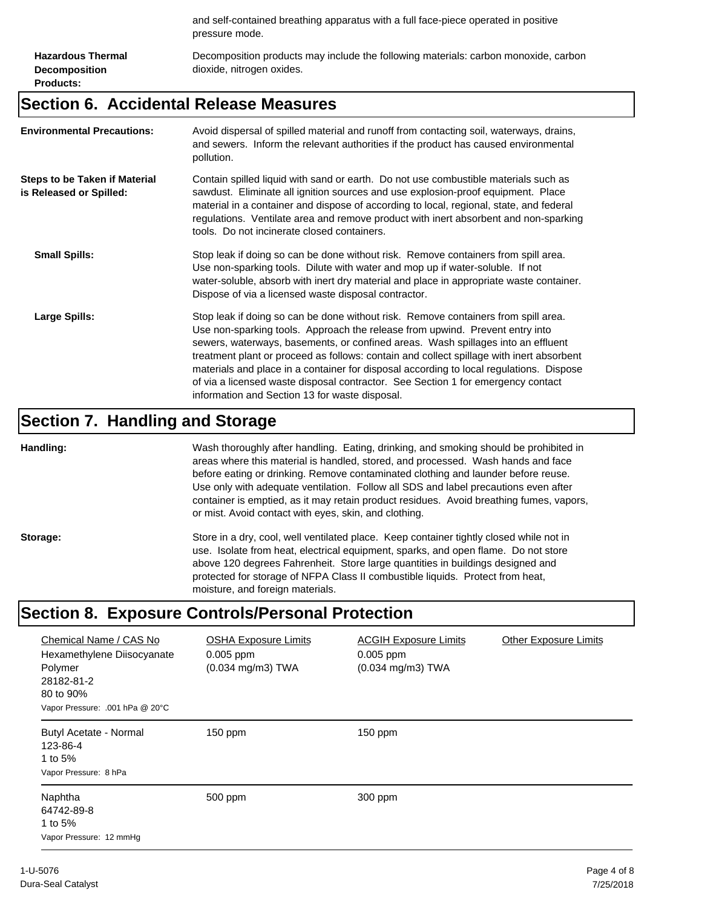and self-contained breathing apparatus with a full face-piece operated in positive pressure mode.

**Hazardous Thermal Decomposition Products:**

Decomposition products may include the following materials: carbon monoxide, carbon dioxide, nitrogen oxides.

#### **Section 6. Accidental Release Measures**

| <b>Environmental Precautions:</b>                               | Avoid dispersal of spilled material and runoff from contacting soil, waterways, drains,<br>and sewers. Inform the relevant authorities if the product has caused environmental<br>pollution.                                                                                                                                                                                                                                                                                                                                                                                        |
|-----------------------------------------------------------------|-------------------------------------------------------------------------------------------------------------------------------------------------------------------------------------------------------------------------------------------------------------------------------------------------------------------------------------------------------------------------------------------------------------------------------------------------------------------------------------------------------------------------------------------------------------------------------------|
| <b>Steps to be Taken if Material</b><br>is Released or Spilled: | Contain spilled liquid with sand or earth. Do not use combustible materials such as<br>sawdust. Eliminate all ignition sources and use explosion-proof equipment. Place<br>material in a container and dispose of according to local, regional, state, and federal<br>regulations. Ventilate area and remove product with inert absorbent and non-sparking<br>tools. Do not incinerate closed containers.                                                                                                                                                                           |
| <b>Small Spills:</b>                                            | Stop leak if doing so can be done without risk. Remove containers from spill area.<br>Use non-sparking tools. Dilute with water and mop up if water-soluble. If not<br>water-soluble, absorb with inert dry material and place in appropriate waste container.<br>Dispose of via a licensed waste disposal contractor.                                                                                                                                                                                                                                                              |
| Large Spills:                                                   | Stop leak if doing so can be done without risk. Remove containers from spill area.<br>Use non-sparking tools. Approach the release from upwind. Prevent entry into<br>sewers, waterways, basements, or confined areas. Wash spillages into an effluent<br>treatment plant or proceed as follows: contain and collect spillage with inert absorbent<br>materials and place in a container for disposal according to local regulations. Dispose<br>of via a licensed waste disposal contractor. See Section 1 for emergency contact<br>information and Section 13 for waste disposal. |

#### **Section 7. Handling and Storage**

**Handling:** Wash thoroughly after handling. Eating, drinking, and smoking should be prohibited in areas where this material is handled, stored, and processed. Wash hands and face before eating or drinking. Remove contaminated clothing and launder before reuse. Use only with adequate ventilation. Follow all SDS and label precautions even after container is emptied, as it may retain product residues. Avoid breathing fumes, vapors, or mist. Avoid contact with eyes, skin, and clothing.

Storage: Store in a dry, cool, well ventilated place. Keep container tightly closed while not in use. Isolate from heat, electrical equipment, sparks, and open flame. Do not store above 120 degrees Fahrenheit. Store large quantities in buildings designed and protected for storage of NFPA Class II combustible liquids. Protect from heat, moisture, and foreign materials.

#### **Section 8. Exposure Controls/Personal Protection**

| Chemical Name / CAS No<br>Hexamethylene Diisocyanate<br>Polymer<br>28182-81-2<br>80 to 90%<br>Vapor Pressure: .001 hPa @ 20°C | <b>OSHA Exposure Limits</b><br>$0.005$ ppm<br>$(0.034 \text{ mg/m3})$ TWA | <b>ACGIH Exposure Limits</b><br>$0.005$ ppm<br>$(0.034 \text{ mg/m3})$ TWA | <b>Other Exposure Limits</b> |
|-------------------------------------------------------------------------------------------------------------------------------|---------------------------------------------------------------------------|----------------------------------------------------------------------------|------------------------------|
| Butyl Acetate - Normal<br>123-86-4<br>1 to 5%<br>Vapor Pressure: 8 hPa                                                        | $150$ ppm                                                                 | 150 ppm                                                                    |                              |
| Naphtha<br>64742-89-8<br>1 to 5%<br>Vapor Pressure: 12 mmHg                                                                   | 500 ppm                                                                   | 300 ppm                                                                    |                              |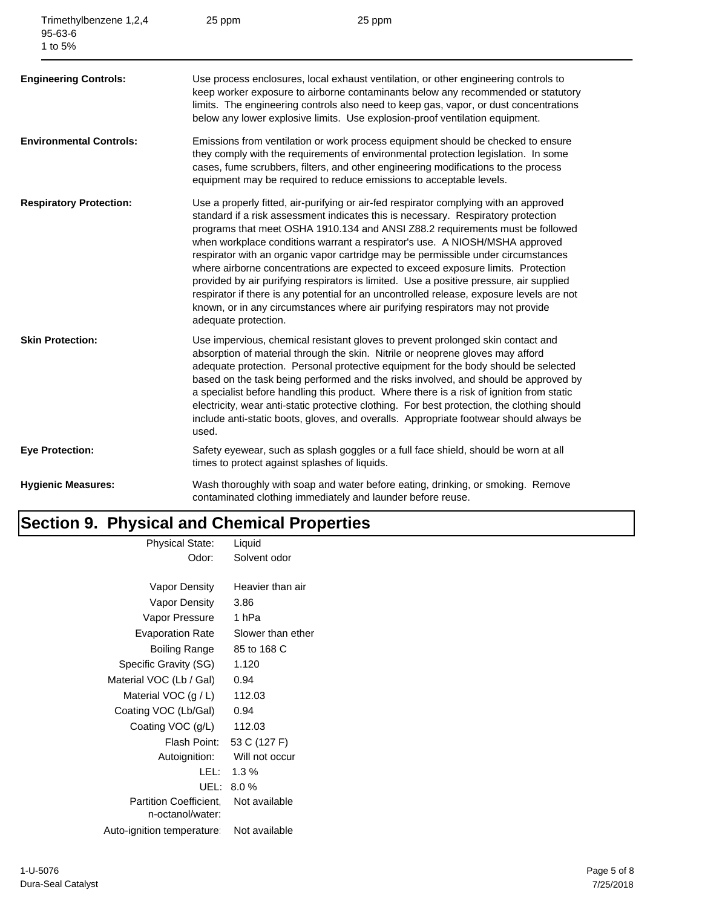| Trimethylbenzene 1,2,4<br>$95 - 63 - 6$<br>1 to 5% | 25 ppm                                        | 25 ppm                                                                                                                                                                                                                                                                                                                                                                                                                                                                                                                                                                                                                                                                                                                                                                                        |
|----------------------------------------------------|-----------------------------------------------|-----------------------------------------------------------------------------------------------------------------------------------------------------------------------------------------------------------------------------------------------------------------------------------------------------------------------------------------------------------------------------------------------------------------------------------------------------------------------------------------------------------------------------------------------------------------------------------------------------------------------------------------------------------------------------------------------------------------------------------------------------------------------------------------------|
| <b>Engineering Controls:</b>                       |                                               | Use process enclosures, local exhaust ventilation, or other engineering controls to<br>keep worker exposure to airborne contaminants below any recommended or statutory<br>limits. The engineering controls also need to keep gas, vapor, or dust concentrations<br>below any lower explosive limits. Use explosion-proof ventilation equipment.                                                                                                                                                                                                                                                                                                                                                                                                                                              |
| <b>Environmental Controls:</b>                     |                                               | Emissions from ventilation or work process equipment should be checked to ensure<br>they comply with the requirements of environmental protection legislation. In some<br>cases, fume scrubbers, filters, and other engineering modifications to the process<br>equipment may be required to reduce emissions to acceptable levels.                                                                                                                                                                                                                                                                                                                                                                                                                                                           |
| <b>Respiratory Protection:</b>                     | adequate protection.                          | Use a properly fitted, air-purifying or air-fed respirator complying with an approved<br>standard if a risk assessment indicates this is necessary. Respiratory protection<br>programs that meet OSHA 1910.134 and ANSI Z88.2 requirements must be followed<br>when workplace conditions warrant a respirator's use. A NIOSH/MSHA approved<br>respirator with an organic vapor cartridge may be permissible under circumstances<br>where airborne concentrations are expected to exceed exposure limits. Protection<br>provided by air purifying respirators is limited. Use a positive pressure, air supplied<br>respirator if there is any potential for an uncontrolled release, exposure levels are not<br>known, or in any circumstances where air purifying respirators may not provide |
| <b>Skin Protection:</b>                            | used.                                         | Use impervious, chemical resistant gloves to prevent prolonged skin contact and<br>absorption of material through the skin. Nitrile or neoprene gloves may afford<br>adequate protection. Personal protective equipment for the body should be selected<br>based on the task being performed and the risks involved, and should be approved by<br>a specialist before handling this product. Where there is a risk of ignition from static<br>electricity, wear anti-static protective clothing. For best protection, the clothing should<br>include anti-static boots, gloves, and overalls. Appropriate footwear should always be                                                                                                                                                           |
| <b>Eye Protection:</b>                             | times to protect against splashes of liquids. | Safety eyewear, such as splash goggles or a full face shield, should be worn at all                                                                                                                                                                                                                                                                                                                                                                                                                                                                                                                                                                                                                                                                                                           |
| <b>Hygienic Measures:</b>                          |                                               | Wash thoroughly with soap and water before eating, drinking, or smoking. Remove<br>contaminated clothing immediately and launder before reuse.                                                                                                                                                                                                                                                                                                                                                                                                                                                                                                                                                                                                                                                |

## **Section 9. Physical and Chemical Properties**

| Liquid                       |
|------------------------------|
| Solvent odor                 |
|                              |
| Heavier than air             |
| 3.86                         |
| 1 hPa                        |
| Slower than ether            |
| 85 to 168 C                  |
| 1.120                        |
| 0.94                         |
| 112.03                       |
| 0.94                         |
| 112.03                       |
| Flash Point:<br>53 C (127 F) |
| Will not occur               |
| $1.3\%$                      |
| 8.0%                         |
| Not available                |
|                              |
| Not available                |
|                              |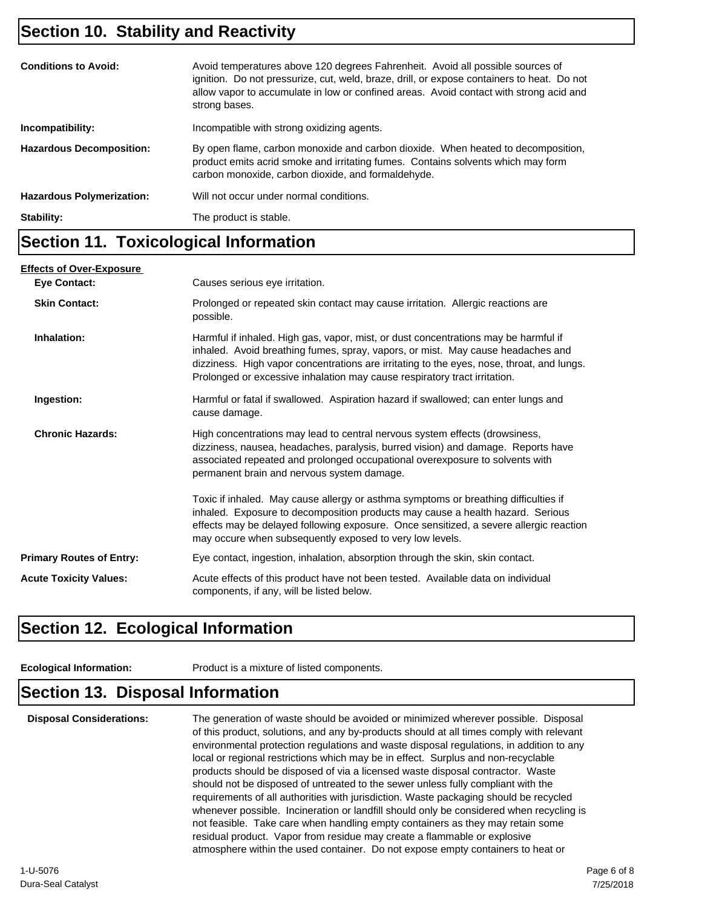#### **Section 10. Stability and Reactivity**

| <b>Conditions to Avoid:</b>      | Avoid temperatures above 120 degrees Fahrenheit. Avoid all possible sources of<br>ignition. Do not pressurize, cut, weld, braze, drill, or expose containers to heat. Do not<br>allow vapor to accumulate in low or confined areas. Avoid contact with strong acid and<br>strong bases. |
|----------------------------------|-----------------------------------------------------------------------------------------------------------------------------------------------------------------------------------------------------------------------------------------------------------------------------------------|
| Incompatibility:                 | Incompatible with strong oxidizing agents.                                                                                                                                                                                                                                              |
| <b>Hazardous Decomposition:</b>  | By open flame, carbon monoxide and carbon dioxide. When heated to decomposition,<br>product emits acrid smoke and irritating fumes. Contains solvents which may form<br>carbon monoxide, carbon dioxide, and formaldehyde.                                                              |
| <b>Hazardous Polymerization:</b> | Will not occur under normal conditions.                                                                                                                                                                                                                                                 |
| Stability:                       | The product is stable.                                                                                                                                                                                                                                                                  |
|                                  |                                                                                                                                                                                                                                                                                         |

#### **Section 11. Toxicological Information**

| <b>Effects of Over-Exposure</b> |                                                                                                                                                                                                                                                                                                                                                  |
|---------------------------------|--------------------------------------------------------------------------------------------------------------------------------------------------------------------------------------------------------------------------------------------------------------------------------------------------------------------------------------------------|
| <b>Eye Contact:</b>             | Causes serious eye irritation.                                                                                                                                                                                                                                                                                                                   |
| <b>Skin Contact:</b>            | Prolonged or repeated skin contact may cause irritation. Allergic reactions are<br>possible.                                                                                                                                                                                                                                                     |
| Inhalation:                     | Harmful if inhaled. High gas, vapor, mist, or dust concentrations may be harmful if<br>inhaled. Avoid breathing fumes, spray, vapors, or mist. May cause headaches and<br>dizziness. High vapor concentrations are irritating to the eyes, nose, throat, and lungs.<br>Prolonged or excessive inhalation may cause respiratory tract irritation. |
| Ingestion:                      | Harmful or fatal if swallowed. Aspiration hazard if swallowed; can enter lungs and<br>cause damage.                                                                                                                                                                                                                                              |
| <b>Chronic Hazards:</b>         | High concentrations may lead to central nervous system effects (drowsiness,<br>dizziness, nausea, headaches, paralysis, burred vision) and damage. Reports have<br>associated repeated and prolonged occupational overexposure to solvents with<br>permanent brain and nervous system damage.                                                    |
|                                 | Toxic if inhaled. May cause allergy or asthma symptoms or breathing difficulties if<br>inhaled. Exposure to decomposition products may cause a health hazard. Serious<br>effects may be delayed following exposure. Once sensitized, a severe allergic reaction<br>may occure when subsequently exposed to very low levels.                      |
| <b>Primary Routes of Entry:</b> | Eye contact, ingestion, inhalation, absorption through the skin, skin contact.                                                                                                                                                                                                                                                                   |
| <b>Acute Toxicity Values:</b>   | Acute effects of this product have not been tested. Available data on individual<br>components, if any, will be listed below.                                                                                                                                                                                                                    |

### **Section 12. Ecological Information**

**Ecological Information:** Product is a mixture of listed components.

## **Section 13. Disposal Information**

**Disposal Considerations:** The generation of waste should be avoided or minimized wherever possible. Disposal of this product, solutions, and any by-products should at all times comply with relevant environmental protection regulations and waste disposal regulations, in addition to any local or regional restrictions which may be in effect. Surplus and non-recyclable products should be disposed of via a licensed waste disposal contractor. Waste should not be disposed of untreated to the sewer unless fully compliant with the requirements of all authorities with jurisdiction. Waste packaging should be recycled whenever possible. Incineration or landfill should only be considered when recycling is not feasible. Take care when handling empty containers as they may retain some residual product. Vapor from residue may create a flammable or explosive atmosphere within the used container. Do not expose empty containers to heat or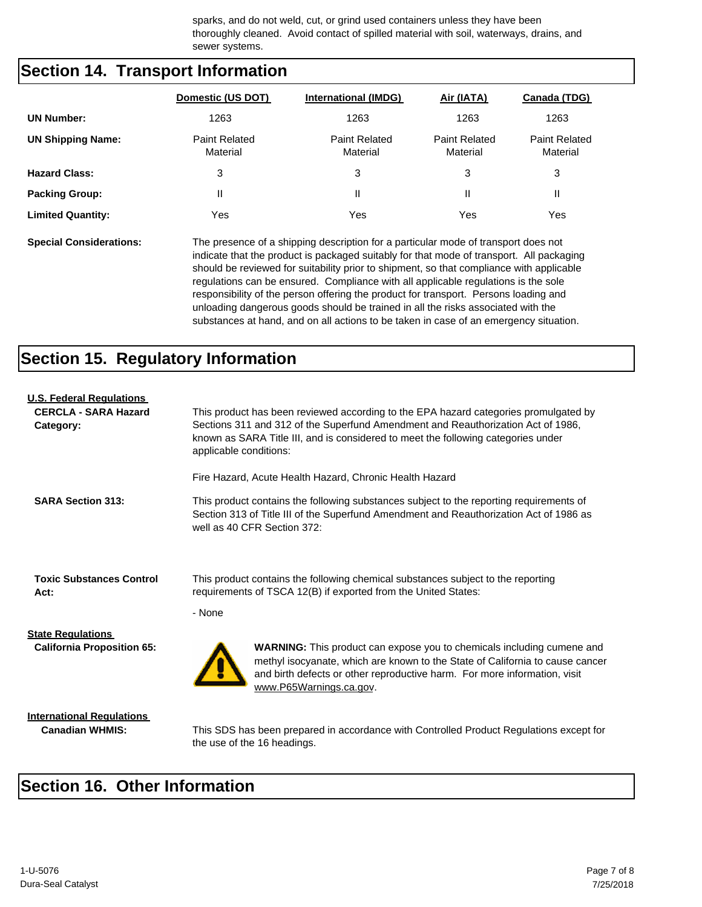sparks, and do not weld, cut, or grind used containers unless they have been thoroughly cleaned. Avoid contact of spilled material with soil, waterways, drains, and sewer systems.

#### **Section 14. Transport Information**

|                          | Domestic (US DOT)                | <b>International (IMDG)</b>      | Air (IATA)                       | Canada (TDG)                     |
|--------------------------|----------------------------------|----------------------------------|----------------------------------|----------------------------------|
| <b>UN Number:</b>        | 1263                             | 1263                             | 1263                             | 1263                             |
| <b>UN Shipping Name:</b> | <b>Paint Related</b><br>Material | <b>Paint Related</b><br>Material | <b>Paint Related</b><br>Material | <b>Paint Related</b><br>Material |
| <b>Hazard Class:</b>     | 3                                | 3                                | 3                                | 3                                |
| <b>Packing Group:</b>    | Ш                                | П                                | $\mathsf{I}$                     | Ш                                |
| <b>Limited Quantity:</b> | Yes                              | Yes                              | Yes                              | Yes                              |

**Special Considerations:** The presence of a shipping description for a particular mode of transport does not indicate that the product is packaged suitably for that mode of transport. All packaging should be reviewed for suitability prior to shipment, so that compliance with applicable regulations can be ensured. Compliance with all applicable regulations is the sole responsibility of the person offering the product for transport. Persons loading and unloading dangerous goods should be trained in all the risks associated with the substances at hand, and on all actions to be taken in case of an emergency situation.

### **Section 15. Regulatory Information**

| <b>U.S. Federal Regulations</b>          |                                                                                                                                                                                                                                                                                         |
|------------------------------------------|-----------------------------------------------------------------------------------------------------------------------------------------------------------------------------------------------------------------------------------------------------------------------------------------|
| <b>CERCLA - SARA Hazard</b><br>Category: | This product has been reviewed according to the EPA hazard categories promulgated by<br>Sections 311 and 312 of the Superfund Amendment and Reauthorization Act of 1986,<br>known as SARA Title III, and is considered to meet the following categories under<br>applicable conditions: |
|                                          | Fire Hazard, Acute Health Hazard, Chronic Health Hazard                                                                                                                                                                                                                                 |
| <b>SARA Section 313:</b>                 | This product contains the following substances subject to the reporting requirements of<br>Section 313 of Title III of the Superfund Amendment and Reauthorization Act of 1986 as<br>well as 40 CFR Section 372:                                                                        |
| <b>Toxic Substances Control</b><br>Act:  | This product contains the following chemical substances subject to the reporting<br>requirements of TSCA 12(B) if exported from the United States:<br>- None                                                                                                                            |
| <b>State Regulations</b>                 |                                                                                                                                                                                                                                                                                         |
| <b>California Proposition 65:</b>        | WARNING: This product can expose you to chemicals including cumene and<br>methyl isocyanate, which are known to the State of California to cause cancer<br>and birth defects or other reproductive harm. For more information, visit<br>www.P65Warnings.ca.gov.                         |
| <b>International Regulations</b>         |                                                                                                                                                                                                                                                                                         |
| <b>Canadian WHMIS:</b>                   | This SDS has been prepared in accordance with Controlled Product Regulations except for<br>the use of the 16 headings.                                                                                                                                                                  |

#### **Section 16. Other Information**